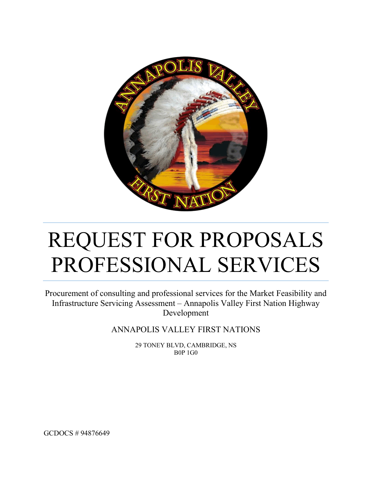

# REQUEST FOR PROPOSALS PROFESSIONAL SERVICES

Procurement of consulting and professional services for the Market Feasibility and Infrastructure Servicing Assessment – Annapolis Valley First Nation Highway Development

ANNAPOLIS VALLEY FIRST NATIONS

29 TONEY BLVD, CAMBRIDGE, NS B0P 1G0

GCDOCS # 94876649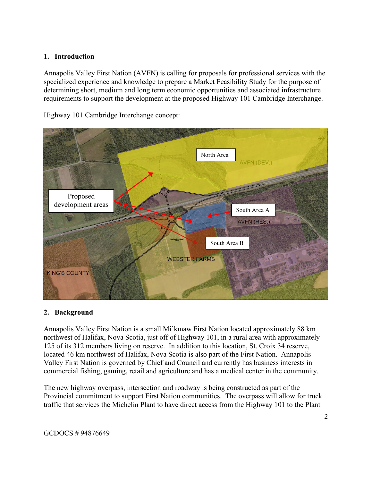### **1. Introduction**

Annapolis Valley First Nation (AVFN) is calling for proposals for professional services with the specialized experience and knowledge to prepare a Market Feasibility Study for the purpose of determining short, medium and long term economic opportunities and associated infrastructure requirements to support the development at the proposed Highway 101 Cambridge Interchange.



Highway 101 Cambridge Interchange concept:

# **2. Background**

Annapolis Valley First Nation is a small Mi'kmaw First Nation located approximately 88 km northwest of Halifax, Nova Scotia, just off of Highway 101, in a rural area with approximately 125 of its 312 members living on reserve. In addition to this location, St. Croix 34 reserve, located 46 km northwest of Halifax, Nova Scotia is also part of the First Nation. Annapolis Valley First Nation is governed by Chief and Council and currently has business interests in commercial fishing, gaming, retail and agriculture and has a medical center in the community.

The new highway overpass, intersection and roadway is being constructed as part of the Provincial commitment to support First Nation communities. The overpass will allow for truck traffic that services the Michelin Plant to have direct access from the Highway 101 to the Plant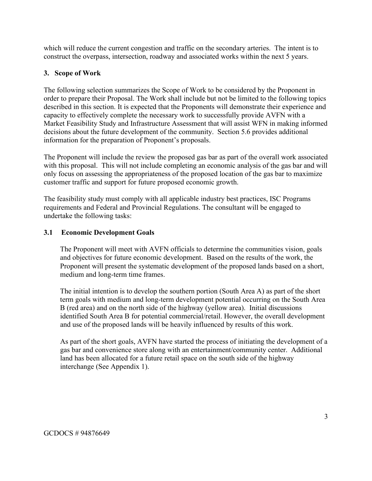which will reduce the current congestion and traffic on the secondary arteries. The intent is to construct the overpass, intersection, roadway and associated works within the next 5 years.

# **3. Scope of Work**

The following selection summarizes the Scope of Work to be considered by the Proponent in order to prepare their Proposal. The Work shall include but not be limited to the following topics described in this section. It is expected that the Proponents will demonstrate their experience and capacity to effectively complete the necessary work to successfully provide AVFN with a Market Feasibility Study and Infrastructure Assessment that will assist WFN in making informed decisions about the future development of the community. Section 5.6 provides additional information for the preparation of Proponent's proposals.

The Proponent will include the review the proposed gas bar as part of the overall work associated with this proposal. This will not include completing an economic analysis of the gas bar and will only focus on assessing the appropriateness of the proposed location of the gas bar to maximize customer traffic and support for future proposed economic growth.

The feasibility study must comply with all applicable industry best practices, ISC Programs requirements and Federal and Provincial Regulations. The consultant will be engaged to undertake the following tasks:

# **3.1 Economic Development Goals**

The Proponent will meet with AVFN officials to determine the communities vision, goals and objectives for future economic development. Based on the results of the work, the Proponent will present the systematic development of the proposed lands based on a short, medium and long-term time frames.

The initial intention is to develop the southern portion (South Area A) as part of the short term goals with medium and long-term development potential occurring on the South Area B (red area) and on the north side of the highway (yellow area). Initial discussions identified South Area B for potential commercial/retail. However, the overall development and use of the proposed lands will be heavily influenced by results of this work.

As part of the short goals, AVFN have started the process of initiating the development of a gas bar and convenience store along with an entertainment/community center. Additional land has been allocated for a future retail space on the south side of the highway interchange (See Appendix 1).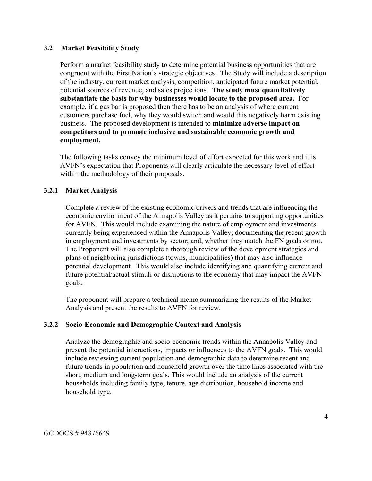#### **3.2 Market Feasibility Study**

Perform a market feasibility study to determine potential business opportunities that are congruent with the First Nation's strategic objectives. The Study will include a description of the industry, current market analysis, competition, anticipated future market potential, potential sources of revenue, and sales projections. **The study must quantitatively substantiate the basis for why businesses would locate to the proposed area.** For example, if a gas bar is proposed then there has to be an analysis of where current customers purchase fuel, why they would switch and would this negatively harm existing business. The proposed development is intended to **minimize adverse impact on competitors and to promote inclusive and sustainable economic growth and employment.**

The following tasks convey the minimum level of effort expected for this work and it is AVFN's expectation that Proponents will clearly articulate the necessary level of effort within the methodology of their proposals.

# **3.2.1 Market Analysis**

Complete a review of the existing economic drivers and trends that are influencing the economic environment of the Annapolis Valley as it pertains to supporting opportunities for AVFN. This would include examining the nature of employment and investments currently being experienced within the Annapolis Valley; documenting the recent growth in employment and investments by sector; and, whether they match the FN goals or not. The Proponent will also complete a thorough review of the development strategies and plans of neighboring jurisdictions (towns, municipalities) that may also influence potential development. This would also include identifying and quantifying current and future potential/actual stimuli or disruptions to the economy that may impact the AVFN goals.

The proponent will prepare a technical memo summarizing the results of the Market Analysis and present the results to AVFN for review.

#### **3.2.2 Socio-Economic and Demographic Context and Analysis**

Analyze the demographic and socio-economic trends within the Annapolis Valley and present the potential interactions, impacts or influences to the AVFN goals. This would include reviewing current population and demographic data to determine recent and future trends in population and household growth over the time lines associated with the short, medium and long-term goals. This would include an analysis of the current households including family type, tenure, age distribution, household income and household type.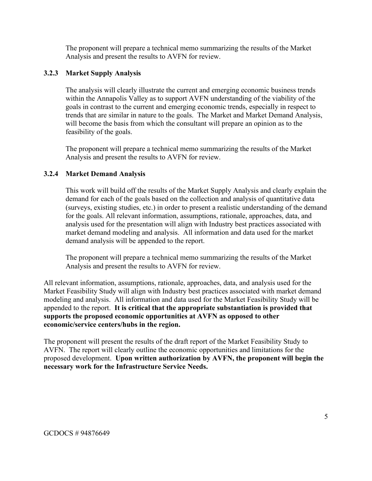The proponent will prepare a technical memo summarizing the results of the Market Analysis and present the results to AVFN for review.

# **3.2.3 Market Supply Analysis**

The analysis will clearly illustrate the current and emerging economic business trends within the Annapolis Valley as to support AVFN understanding of the viability of the goals in contrast to the current and emerging economic trends, especially in respect to trends that are similar in nature to the goals. The Market and Market Demand Analysis, will become the basis from which the consultant will prepare an opinion as to the feasibility of the goals.

The proponent will prepare a technical memo summarizing the results of the Market Analysis and present the results to AVFN for review.

# **3.2.4 Market Demand Analysis**

This work will build off the results of the Market Supply Analysis and clearly explain the demand for each of the goals based on the collection and analysis of quantitative data (surveys, existing studies, etc.) in order to present a realistic understanding of the demand for the goals. All relevant information, assumptions, rationale, approaches, data, and analysis used for the presentation will align with Industry best practices associated with market demand modeling and analysis. All information and data used for the market demand analysis will be appended to the report.

The proponent will prepare a technical memo summarizing the results of the Market Analysis and present the results to AVFN for review.

All relevant information, assumptions, rationale, approaches, data, and analysis used for the Market Feasibility Study will align with Industry best practices associated with market demand modeling and analysis. All information and data used for the Market Feasibility Study will be appended to the report. **It is critical that the appropriate substantiation is provided that supports the proposed economic opportunities at AVFN as opposed to other economic/service centers/hubs in the region.**

The proponent will present the results of the draft report of the Market Feasibility Study to AVFN. The report will clearly outline the economic opportunities and limitations for the proposed development. **Upon written authorization by AVFN, the proponent will begin the necessary work for the Infrastructure Service Needs.**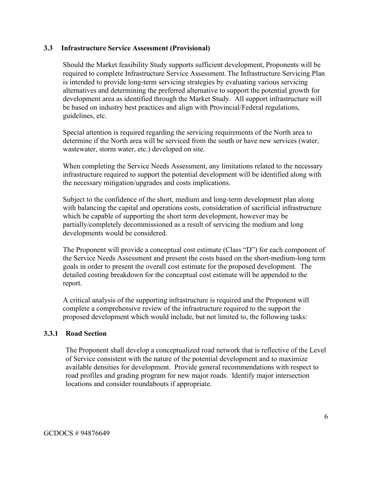#### **3.3 Infrastructure Service Assessment (Provisional)**

Should the Market feasibility Study supports sufficient development, Proponents will be required to complete Infrastructure Service Assessment.The Infrastructure Servicing Plan is intended to provide long-term servicing strategies by evaluating various servicing alternatives and determining the preferred alternative to support the potential growth for development area as identified through the Market Study. All support infrastructure will be based on industry best practices and align with Provincial/Federal regulations, guidelines, etc.

Special attention is required regarding the servicing requirements of the North area to determine if the North area will be serviced from the south or have new services (water, wastewater, storm water, etc.) developed on site.

When completing the Service Needs Assessment, any limitations related to the necessary infrastructure required to support the potential development will be identified along with the necessary mitigation/upgrades and costs implications.

Subject to the confidence of the short, medium and long-term development plan along with balancing the capital and operations costs, consideration of sacrificial infrastructure which be capable of supporting the short term development, however may be partially/completely decommissioned as a result of servicing the medium and long developments would be considered.

The Proponent will provide a conceptual cost estimate (Class "D") for each component of the Service Needs Assessment and present the costs based on the short-medium-long term goals in order to present the overall cost estimate for the proposed development. The detailed costing breakdown for the conceptual cost estimate will be appended to the report.

A critical analysis of the supporting infrastructure is required and the Proponent will complete a comprehensive review of the infrastructure required to the support the proposed development which would include, but not limited to, the following tasks:

# **3.3.1 Road Section**

The Proponent shall develop a conceptualized road network that is reflective of the Level of Service consistent with the nature of the potential development and to maximize available densities for development. Provide general recommendations with respect to road profiles and grading program for new major roads. Identify major intersection locations and consider roundabouts if appropriate.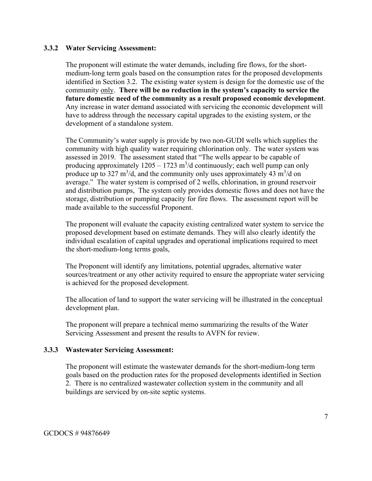#### **3.3.2 Water Servicing Assessment:**

The proponent will estimate the water demands, including fire flows, for the shortmedium-long term goals based on the consumption rates for the proposed developments identified in Section 3.2. The existing water system is design for the domestic use of the community only. **There will be no reduction in the system's capacity to service the future domestic need of the community as a result proposed economic development**. Any increase in water demand associated with servicing the economic development will have to address through the necessary capital upgrades to the existing system, or the development of a standalone system.

The Community's water supply is provide by two non-GUDI wells which supplies the community with high quality water requiring chlorination only. The water system was assessed in 2019. The assessment stated that "The wells appear to be capable of producing approximately  $1205 - 1723$  m<sup>3</sup>/d continuously; each well pump can only produce up to 327 m<sup>3</sup>/d, and the community only uses approximately 43 m<sup>3</sup>/d on average." The water system is comprised of 2 wells, chlorination, in ground reservoir and distribution pumps, The system only provides domestic flows and does not have the storage, distribution or pumping capacity for fire flows. The assessment report will be made available to the successful Proponent.

The proponent will evaluate the capacity existing centralized water system to service the proposed development based on estimate demands. They will also clearly identify the individual escalation of capital upgrades and operational implications required to meet the short-medium-long terms goals,

The Proponent will identify any limitations, potential upgrades, alternative water sources/treatment or any other activity required to ensure the appropriate water servicing is achieved for the proposed development.

The allocation of land to support the water servicing will be illustrated in the conceptual development plan.

The proponent will prepare a technical memo summarizing the results of the Water Servicing Assessment and present the results to AVFN for review.

#### **3.3.3 Wastewater Servicing Assessment:**

The proponent will estimate the wastewater demands for the short-medium-long term goals based on the production rates for the proposed developments identified in Section 2. There is no centralized wastewater collection system in the community and all buildings are serviced by on-site septic systems.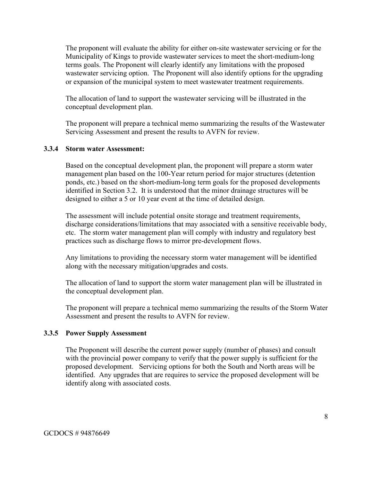The proponent will evaluate the ability for either on-site wastewater servicing or for the Municipality of Kings to provide wastewater services to meet the short-medium-long terms goals. The Proponent will clearly identify any limitations with the proposed wastewater servicing option. The Proponent will also identify options for the upgrading or expansion of the municipal system to meet wastewater treatment requirements.

The allocation of land to support the wastewater servicing will be illustrated in the conceptual development plan.

The proponent will prepare a technical memo summarizing the results of the Wastewater Servicing Assessment and present the results to AVFN for review.

#### **3.3.4 Storm water Assessment:**

Based on the conceptual development plan, the proponent will prepare a storm water management plan based on the 100-Year return period for major structures (detention ponds, etc.) based on the short-medium-long term goals for the proposed developments identified in Section 3.2. It is understood that the minor drainage structures will be designed to either a 5 or 10 year event at the time of detailed design.

The assessment will include potential onsite storage and treatment requirements, discharge considerations/limitations that may associated with a sensitive receivable body, etc. The storm water management plan will comply with industry and regulatory best practices such as discharge flows to mirror pre-development flows.

Any limitations to providing the necessary storm water management will be identified along with the necessary mitigation/upgrades and costs.

The allocation of land to support the storm water management plan will be illustrated in the conceptual development plan.

The proponent will prepare a technical memo summarizing the results of the Storm Water Assessment and present the results to AVFN for review.

#### **3.3.5 Power Supply Assessment**

The Proponent will describe the current power supply (number of phases) and consult with the provincial power company to verify that the power supply is sufficient for the proposed development. Servicing options for both the South and North areas will be identified. Any upgrades that are requires to service the proposed development will be identify along with associated costs.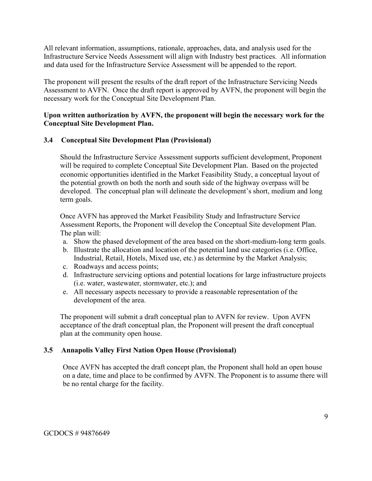All relevant information, assumptions, rationale, approaches, data, and analysis used for the Infrastructure Service Needs Assessment will align with Industry best practices. All information and data used for the Infrastructure Service Assessment will be appended to the report.

The proponent will present the results of the draft report of the Infrastructure Servicing Needs Assessment to AVFN. Once the draft report is approved by AVFN, the proponent will begin the necessary work for the Conceptual Site Development Plan.

# **Upon written authorization by AVFN, the proponent will begin the necessary work for the Conceptual Site Development Plan.**

### **3.4 Conceptual Site Development Plan (Provisional)**

Should the Infrastructure Service Assessment supports sufficient development, Proponent will be required to complete Conceptual Site Development Plan. Based on the projected economic opportunities identified in the Market Feasibility Study, a conceptual layout of the potential growth on both the north and south side of the highway overpass will be developed. The conceptual plan will delineate the development's short, medium and long term goals.

Once AVFN has approved the Market Feasibility Study and Infrastructure Service Assessment Reports, the Proponent will develop the Conceptual Site development Plan. The plan will:

- a. Show the phased development of the area based on the short-medium-long term goals.
- b. Illustrate the allocation and location of the potential land use categories (i.e. Office, Industrial, Retail, Hotels, Mixed use, etc.) as determine by the Market Analysis;
- c. Roadways and access points;
- d. Infrastructure servicing options and potential locations for large infrastructure projects (i.e. water, wastewater, stormwater, etc.); and
- e. All necessary aspects necessary to provide a reasonable representation of the development of the area.

The proponent will submit a draft conceptual plan to AVFN for review. Upon AVFN acceptance of the draft conceptual plan, the Proponent will present the draft conceptual plan at the community open house.

#### **3.5 Annapolis Valley First Nation Open House (Provisional)**

Once AVFN has accepted the draft concept plan, the Proponent shall hold an open house on a date, time and place to be confirmed by AVFN. The Proponent is to assume there will be no rental charge for the facility.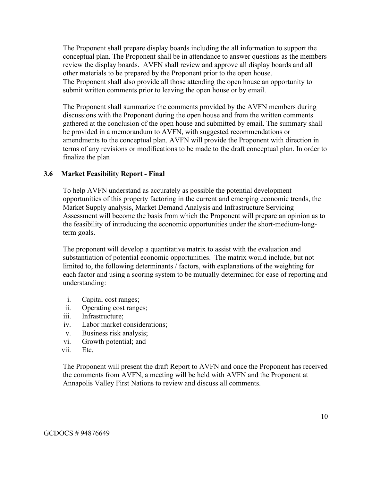The Proponent shall prepare display boards including the all information to support the conceptual plan. The Proponent shall be in attendance to answer questions as the members review the display boards. AVFN shall review and approve all display boards and all other materials to be prepared by the Proponent prior to the open house. The Proponent shall also provide all those attending the open house an opportunity to submit written comments prior to leaving the open house or by email.

The Proponent shall summarize the comments provided by the AVFN members during discussions with the Proponent during the open house and from the written comments gathered at the conclusion of the open house and submitted by email. The summary shall be provided in a memorandum to AVFN, with suggested recommendations or amendments to the conceptual plan. AVFN will provide the Proponent with direction in terms of any revisions or modifications to be made to the draft conceptual plan. In order to finalize the plan

#### **3.6 Market Feasibility Report - Final**

To help AVFN understand as accurately as possible the potential development opportunities of this property factoring in the current and emerging economic trends, the Market Supply analysis, Market Demand Analysis and Infrastructure Servicing Assessment will become the basis from which the Proponent will prepare an opinion as to the feasibility of introducing the economic opportunities under the short-medium-longterm goals.

The proponent will develop a quantitative matrix to assist with the evaluation and substantiation of potential economic opportunities. The matrix would include, but not limited to, the following determinants / factors, with explanations of the weighting for each factor and using a scoring system to be mutually determined for ease of reporting and understanding:

- i. Capital cost ranges;
- ii. Operating cost ranges;
- iii. Infrastructure;
- iv. Labor market considerations;
- v. Business risk analysis;
- vi. Growth potential; and
- vii. Etc.

The Proponent will present the draft Report to AVFN and once the Proponent has received the comments from AVFN, a meeting will be held with AVFN and the Proponent at Annapolis Valley First Nations to review and discuss all comments.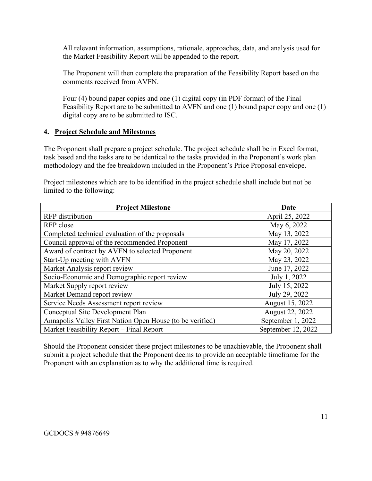All relevant information, assumptions, rationale, approaches, data, and analysis used for the Market Feasibility Report will be appended to the report.

The Proponent will then complete the preparation of the Feasibility Report based on the comments received from AVFN.

Four (4) bound paper copies and one (1) digital copy (in PDF format) of the Final Feasibility Report are to be submitted to AVFN and one (1) bound paper copy and one (1) digital copy are to be submitted to ISC.

# **4. Project Schedule and Milestones**

The Proponent shall prepare a project schedule. The project schedule shall be in Excel format, task based and the tasks are to be identical to the tasks provided in the Proponent's work plan methodology and the fee breakdown included in the Proponent's Price Proposal envelope.

Project milestones which are to be identified in the project schedule shall include but not be limited to the following:

| <b>Project Milestone</b>                                  | Date               |
|-----------------------------------------------------------|--------------------|
| <b>RFP</b> distribution                                   | April 25, 2022     |
| RFP close                                                 | May 6, 2022        |
| Completed technical evaluation of the proposals           | May 13, 2022       |
| Council approval of the recommended Proponent             | May 17, 2022       |
| Award of contract by AVFN to selected Proponent           | May 20, 2022       |
| Start-Up meeting with AVFN                                | May 23, 2022       |
| Market Analysis report review                             | June 17, 2022      |
| Socio-Economic and Demographic report review              | July 1, 2022       |
| Market Supply report review                               | July 15, 2022      |
| Market Demand report review                               | July 29, 2022      |
| Service Needs Assessment report review                    | August 15, 2022    |
| Conceptual Site Development Plan                          | August 22, 2022    |
| Annapolis Valley First Nation Open House (to be verified) | September 1, 2022  |
| Market Feasibility Report – Final Report                  | September 12, 2022 |

Should the Proponent consider these project milestones to be unachievable, the Proponent shall submit a project schedule that the Proponent deems to provide an acceptable timeframe for the Proponent with an explanation as to why the additional time is required.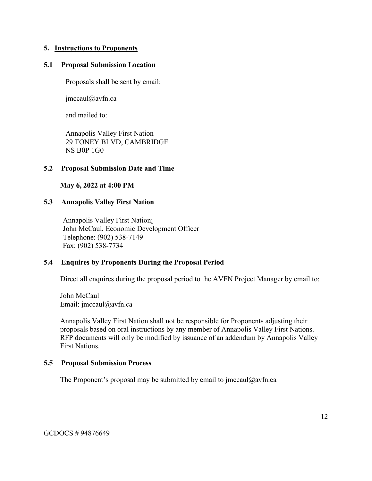#### **5. Instructions to Proponents**

#### **5.1 Proposal Submission Location**

Proposals shall be sent by email:

jmccaul@avfn.ca

and mailed to:

Annapolis Valley First Nation 29 TONEY BLVD, CAMBRIDGE NS B0P 1G0

#### **5.2 Proposal Submission Date and Time**

**May 6, 2022 at 4:00 PM** 

#### **5.3 Annapolis Valley First Nation**

Annapolis Valley First Nation: John McCaul, Economic Development Officer Telephone: (902) 538-7149 Fax: (902) 538-7734

#### **5.4 Enquires by Proponents During the Proposal Period**

Direct all enquires during the proposal period to the AVFN Project Manager by email to:

John McCaul Email: jmccaul@avfn.ca

Annapolis Valley First Nation shall not be responsible for Proponents adjusting their proposals based on oral instructions by any member of Annapolis Valley First Nations. RFP documents will only be modified by issuance of an addendum by Annapolis Valley First Nations.

#### **5.5 Proposal Submission Process**

The Proponent's proposal may be submitted by email to jmccaul@avfn.ca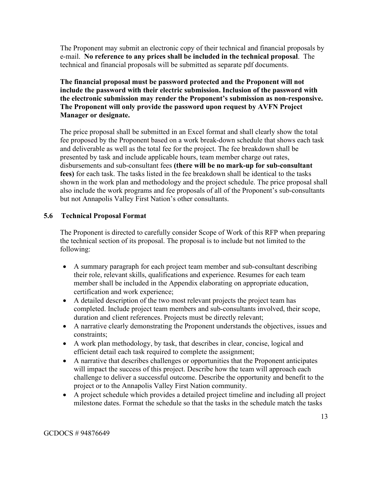The Proponent may submit an electronic copy of their technical and financial proposals by e-mail. **No reference to any prices shall be included in the technical proposal**. The technical and financial proposals will be submitted as separate pdf documents.

# **The financial proposal must be password protected and the Proponent will not include the password with their electric submission. Inclusion of the password with the electronic submission may render the Proponent's submission as non-responsive. The Proponent will only provide the password upon request by AVFN Project Manager or designate.**

The price proposal shall be submitted in an Excel format and shall clearly show the total fee proposed by the Proponent based on a work break-down schedule that shows each task and deliverable as well as the total fee for the project. The fee breakdown shall be presented by task and include applicable hours, team member charge out rates, disbursements and sub-consultant fees **(there will be no mark-up for sub-consultant fees)** for each task. The tasks listed in the fee breakdown shall be identical to the tasks shown in the work plan and methodology and the project schedule. The price proposal shall also include the work programs and fee proposals of all of the Proponent's sub-consultants but not Annapolis Valley First Nation's other consultants.

# **5.6 Technical Proposal Format**

The Proponent is directed to carefully consider Scope of Work of this RFP when preparing the technical section of its proposal. The proposal is to include but not limited to the following:

- A summary paragraph for each project team member and sub-consultant describing their role, relevant skills, qualifications and experience. Resumes for each team member shall be included in the Appendix elaborating on appropriate education, certification and work experience;
- A detailed description of the two most relevant projects the project team has completed. Include project team members and sub-consultants involved, their scope, duration and client references. Projects must be directly relevant;
- A narrative clearly demonstrating the Proponent understands the objectives, issues and constraints;
- A work plan methodology, by task, that describes in clear, concise, logical and efficient detail each task required to complete the assignment;
- A narrative that describes challenges or opportunities that the Proponent anticipates will impact the success of this project. Describe how the team will approach each challenge to deliver a successful outcome. Describe the opportunity and benefit to the project or to the Annapolis Valley First Nation community.
- A project schedule which provides a detailed project timeline and including all project milestone dates. Format the schedule so that the tasks in the schedule match the tasks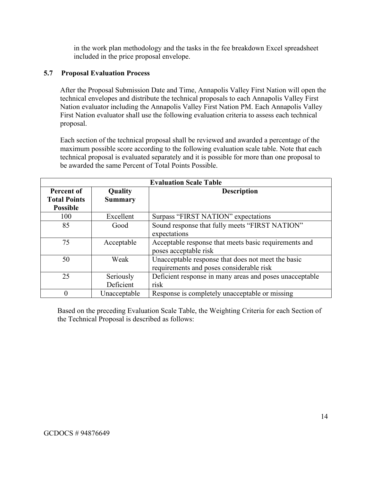in the work plan methodology and the tasks in the fee breakdown Excel spreadsheet included in the price proposal envelope.

### **5.7 Proposal Evaluation Process**

After the Proposal Submission Date and Time, Annapolis Valley First Nation will open the technical envelopes and distribute the technical proposals to each Annapolis Valley First Nation evaluator including the Annapolis Valley First Nation PM. Each Annapolis Valley First Nation evaluator shall use the following evaluation criteria to assess each technical proposal.

Each section of the technical proposal shall be reviewed and awarded a percentage of the maximum possible score according to the following evaluation scale table. Note that each technical proposal is evaluated separately and it is possible for more than one proposal to be awarded the same Percent of Total Points Possible.

| <b>Evaluation Scale Table</b> |                |                                                         |
|-------------------------------|----------------|---------------------------------------------------------|
| Percent of                    | Quality        | <b>Description</b>                                      |
| <b>Total Points</b>           | <b>Summary</b> |                                                         |
| <b>Possible</b>               |                |                                                         |
| 100                           | Excellent      | Surpass "FIRST NATION" expectations                     |
| 85                            | Good           | Sound response that fully meets "FIRST NATION"          |
|                               |                | expectations                                            |
| 75                            | Acceptable     | Acceptable response that meets basic requirements and   |
|                               |                | poses acceptable risk                                   |
| 50                            | Weak           | Unacceptable response that does not meet the basic      |
|                               |                | requirements and poses considerable risk                |
| 25                            | Seriously      | Deficient response in many areas and poses unacceptable |
|                               | Deficient      | risk                                                    |
| 0                             | Unacceptable   | Response is completely unacceptable or missing          |

Based on the preceding Evaluation Scale Table, the Weighting Criteria for each Section of the Technical Proposal is described as follows: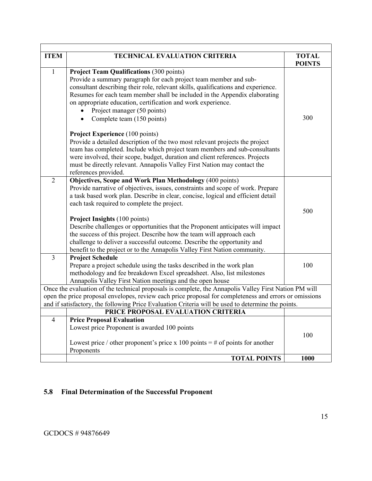| <b>ITEM</b>                                                                                                                                                                                                                                                                                                           | <b>TECHNICAL EVALUATION CRITERIA</b>                                                                                                                                                                                                                                                                                                                                                                                                                                                                                                                                                                                                              | <b>TOTAL</b><br><b>POINTS</b> |
|-----------------------------------------------------------------------------------------------------------------------------------------------------------------------------------------------------------------------------------------------------------------------------------------------------------------------|---------------------------------------------------------------------------------------------------------------------------------------------------------------------------------------------------------------------------------------------------------------------------------------------------------------------------------------------------------------------------------------------------------------------------------------------------------------------------------------------------------------------------------------------------------------------------------------------------------------------------------------------------|-------------------------------|
| $\mathbf{1}$                                                                                                                                                                                                                                                                                                          | <b>Project Team Qualifications (300 points)</b><br>Provide a summary paragraph for each project team member and sub-<br>consultant describing their role, relevant skills, qualifications and experience.<br>Resumes for each team member shall be included in the Appendix elaborating<br>on appropriate education, certification and work experience.<br>Project manager (50 points)<br>Complete team (150 points)                                                                                                                                                                                                                              | 300                           |
|                                                                                                                                                                                                                                                                                                                       | <b>Project Experience</b> (100 points)<br>Provide a detailed description of the two most relevant projects the project<br>team has completed. Include which project team members and sub-consultants<br>were involved, their scope, budget, duration and client references. Projects<br>must be directly relevant. Annapolis Valley First Nation may contact the<br>references provided.                                                                                                                                                                                                                                                          |                               |
| $\overline{2}$                                                                                                                                                                                                                                                                                                        | <b>Objectives, Scope and Work Plan Methodology (400 points)</b><br>Provide narrative of objectives, issues, constraints and scope of work. Prepare<br>a task based work plan. Describe in clear, concise, logical and efficient detail<br>each task required to complete the project.<br><b>Project Insights (100 points)</b><br>Describe challenges or opportunities that the Proponent anticipates will impact<br>the success of this project. Describe how the team will approach each<br>challenge to deliver a successful outcome. Describe the opportunity and<br>benefit to the project or to the Annapolis Valley First Nation community. | 500                           |
| $\overline{3}$                                                                                                                                                                                                                                                                                                        | <b>Project Schedule</b><br>Prepare a project schedule using the tasks described in the work plan<br>methodology and fee breakdown Excel spreadsheet. Also, list milestones<br>Annapolis Valley First Nation meetings and the open house                                                                                                                                                                                                                                                                                                                                                                                                           | 100                           |
| Once the evaluation of the technical proposals is complete, the Annapolis Valley First Nation PM will<br>open the price proposal envelopes, review each price proposal for completeness and errors or omissions<br>and if satisfactory, the following Price Evaluation Criteria will be used to determine the points. |                                                                                                                                                                                                                                                                                                                                                                                                                                                                                                                                                                                                                                                   |                               |
|                                                                                                                                                                                                                                                                                                                       | PRICE PROPOSAL EVALUATION CRITERIA                                                                                                                                                                                                                                                                                                                                                                                                                                                                                                                                                                                                                |                               |
| $\overline{4}$                                                                                                                                                                                                                                                                                                        | <b>Price Proposal Evaluation</b><br>Lowest price Proponent is awarded 100 points<br>Lowest price / other proponent's price x 100 points $=$ # of points for another<br>Proponents                                                                                                                                                                                                                                                                                                                                                                                                                                                                 | 100                           |
|                                                                                                                                                                                                                                                                                                                       | <b>TOTAL POINTS</b>                                                                                                                                                                                                                                                                                                                                                                                                                                                                                                                                                                                                                               | 1000                          |

# **5.8 Final Determination of the Successful Proponent**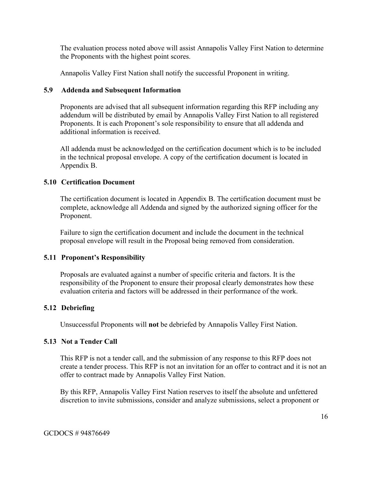The evaluation process noted above will assist Annapolis Valley First Nation to determine the Proponents with the highest point scores.

Annapolis Valley First Nation shall notify the successful Proponent in writing.

### **5.9 Addenda and Subsequent Information**

Proponents are advised that all subsequent information regarding this RFP including any addendum will be distributed by email by Annapolis Valley First Nation to all registered Proponents. It is each Proponent's sole responsibility to ensure that all addenda and additional information is received.

All addenda must be acknowledged on the certification document which is to be included in the technical proposal envelope. A copy of the certification document is located in Appendix B.

### **5.10 Certification Document**

The certification document is located in Appendix B. The certification document must be complete, acknowledge all Addenda and signed by the authorized signing officer for the Proponent.

Failure to sign the certification document and include the document in the technical proposal envelope will result in the Proposal being removed from consideration.

# **5.11 Proponent's Responsibility**

Proposals are evaluated against a number of specific criteria and factors. It is the responsibility of the Proponent to ensure their proposal clearly demonstrates how these evaluation criteria and factors will be addressed in their performance of the work.

# **5.12 Debriefing**

Unsuccessful Proponents will **not** be debriefed by Annapolis Valley First Nation.

#### **5.13 Not a Tender Call**

This RFP is not a tender call, and the submission of any response to this RFP does not create a tender process. This RFP is not an invitation for an offer to contract and it is not an offer to contract made by Annapolis Valley First Nation.

By this RFP, Annapolis Valley First Nation reserves to itself the absolute and unfettered discretion to invite submissions, consider and analyze submissions, select a proponent or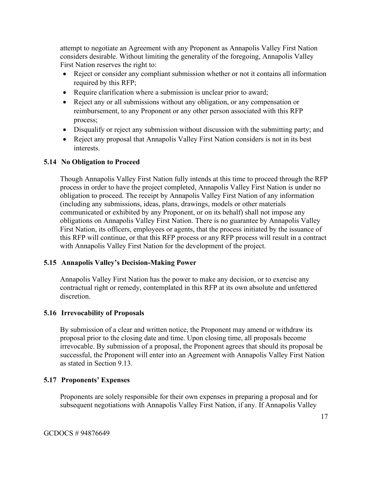attempt to negotiate an Agreement with any Proponent as Annapolis Valley First Nation considers desirable. Without limiting the generality of the foregoing, Annapolis Valley First Nation reserves the right to:

- Reject or consider any compliant submission whether or not it contains all information required by this RFP;
- Require clarification where a submission is unclear prior to award;
- Reject any or all submissions without any obligation, or any compensation or reimbursement, to any Proponent or any other person associated with this RFP process;
- Disqualify or reject any submission without discussion with the submitting party; and
- Reject any proposal that Annapolis Valley First Nation considers is not in its best interests.

# **5.14 No Obligation to Proceed**

Though Annapolis Valley First Nation fully intends at this time to proceed through the RFP process in order to have the project completed, Annapolis Valley First Nation is under no obligation to proceed. The receipt by Annapolis Valley First Nation of any information (including any submissions, ideas, plans, drawings, models or other materials communicated or exhibited by any Proponent, or on its behalf) shall not impose any obligations on Annapolis Valley First Nation. There is no guarantee by Annapolis Valley First Nation, its officers, employees or agents, that the process initiated by the issuance of this RFP will continue, or that this RFP process or any RFP process will result in a contract with Annapolis Valley First Nation for the development of the project.

# **5.15 Annapolis Valley's Decision-Making Power**

Annapolis Valley First Nation has the power to make any decision, or to exercise any contractual right or remedy, contemplated in this RFP at its own absolute and unfettered discretion.

# **5.16 Irrevocability of Proposals**

By submission of a clear and written notice, the Proponent may amend or withdraw its proposal prior to the closing date and time. Upon closing time, all proposals become irrevocable. By submission of a proposal, the Proponent agrees that should its proposal be successful, the Proponent will enter into an Agreement with Annapolis Valley First Nation as stated in Section 9.13.

# **5.17 Proponents' Expenses**

Proponents are solely responsible for their own expenses in preparing a proposal and for subsequent negotiations with Annapolis Valley First Nation, if any. If Annapolis Valley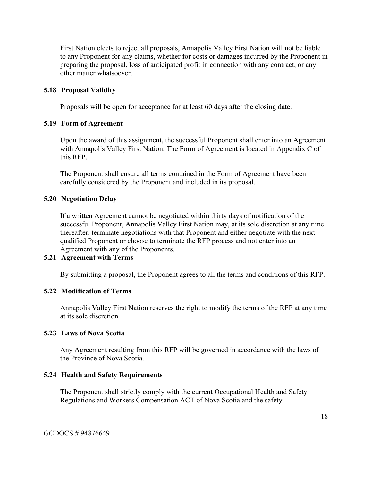First Nation elects to reject all proposals, Annapolis Valley First Nation will not be liable to any Proponent for any claims, whether for costs or damages incurred by the Proponent in preparing the proposal, loss of anticipated profit in connection with any contract, or any other matter whatsoever.

#### **5.18 Proposal Validity**

Proposals will be open for acceptance for at least 60 days after the closing date.

#### **5.19 Form of Agreement**

Upon the award of this assignment, the successful Proponent shall enter into an Agreement with Annapolis Valley First Nation. The Form of Agreement is located in Appendix C of this RFP.

The Proponent shall ensure all terms contained in the Form of Agreement have been carefully considered by the Proponent and included in its proposal.

#### **5.20 Negotiation Delay**

If a written Agreement cannot be negotiated within thirty days of notification of the successful Proponent, Annapolis Valley First Nation may, at its sole discretion at any time thereafter, terminate negotiations with that Proponent and either negotiate with the next qualified Proponent or choose to terminate the RFP process and not enter into an Agreement with any of the Proponents.

#### **5.21 Agreement with Terms**

By submitting a proposal, the Proponent agrees to all the terms and conditions of this RFP.

#### **5.22 Modification of Terms**

Annapolis Valley First Nation reserves the right to modify the terms of the RFP at any time at its sole discretion.

#### **5.23 Laws of Nova Scotia**

Any Agreement resulting from this RFP will be governed in accordance with the laws of the Province of Nova Scotia.

#### **5.24 Health and Safety Requirements**

The Proponent shall strictly comply with the current Occupational Health and Safety Regulations and Workers Compensation ACT of Nova Scotia and the safety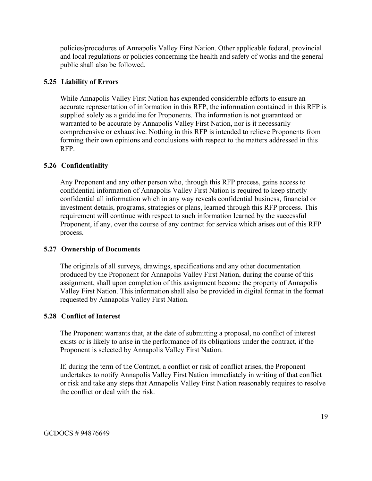policies/procedures of Annapolis Valley First Nation. Other applicable federal, provincial and local regulations or policies concerning the health and safety of works and the general public shall also be followed.

# **5.25 Liability of Errors**

While Annapolis Valley First Nation has expended considerable efforts to ensure an accurate representation of information in this RFP, the information contained in this RFP is supplied solely as a guideline for Proponents. The information is not guaranteed or warranted to be accurate by Annapolis Valley First Nation, nor is it necessarily comprehensive or exhaustive. Nothing in this RFP is intended to relieve Proponents from forming their own opinions and conclusions with respect to the matters addressed in this RFP.

### **5.26 Confidentiality**

Any Proponent and any other person who, through this RFP process, gains access to confidential information of Annapolis Valley First Nation is required to keep strictly confidential all information which in any way reveals confidential business, financial or investment details, programs, strategies or plans, learned through this RFP process. This requirement will continue with respect to such information learned by the successful Proponent, if any, over the course of any contract for service which arises out of this RFP process.

#### **5.27 Ownership of Documents**

The originals of all surveys, drawings, specifications and any other documentation produced by the Proponent for Annapolis Valley First Nation, during the course of this assignment, shall upon completion of this assignment become the property of Annapolis Valley First Nation. This information shall also be provided in digital format in the format requested by Annapolis Valley First Nation.

#### **5.28 Conflict of Interest**

The Proponent warrants that, at the date of submitting a proposal, no conflict of interest exists or is likely to arise in the performance of its obligations under the contract, if the Proponent is selected by Annapolis Valley First Nation.

If, during the term of the Contract, a conflict or risk of conflict arises, the Proponent undertakes to notify Annapolis Valley First Nation immediately in writing of that conflict or risk and take any steps that Annapolis Valley First Nation reasonably requires to resolve the conflict or deal with the risk.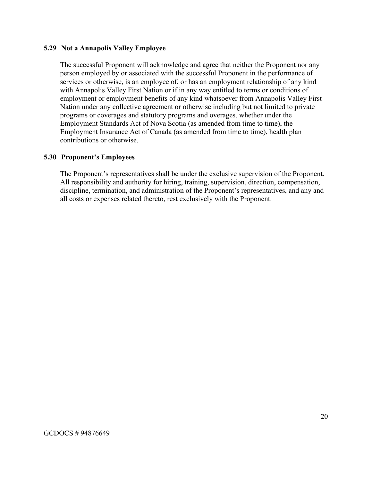#### **5.29 Not a Annapolis Valley Employee**

The successful Proponent will acknowledge and agree that neither the Proponent nor any person employed by or associated with the successful Proponent in the performance of services or otherwise, is an employee of, or has an employment relationship of any kind with Annapolis Valley First Nation or if in any way entitled to terms or conditions of employment or employment benefits of any kind whatsoever from Annapolis Valley First Nation under any collective agreement or otherwise including but not limited to private programs or coverages and statutory programs and overages, whether under the Employment Standards Act of Nova Scotia (as amended from time to time), the Employment Insurance Act of Canada (as amended from time to time), health plan contributions or otherwise.

#### **5.30 Proponent's Employees**

The Proponent's representatives shall be under the exclusive supervision of the Proponent. All responsibility and authority for hiring, training, supervision, direction, compensation, discipline, termination, and administration of the Proponent's representatives, and any and all costs or expenses related thereto, rest exclusively with the Proponent.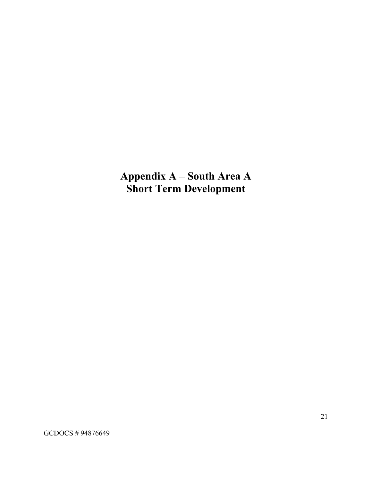**Appendix A – South Area A Short Term Development**

GCDOCS # 94876649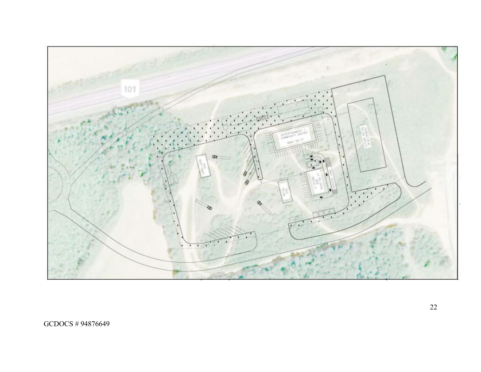

GCDOCS # 94876649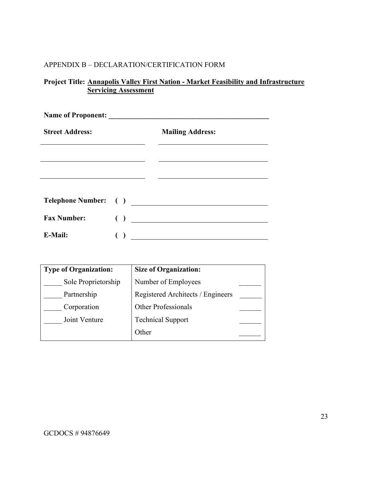# APPENDIX B – DECLARATION/CERTIFICATION FORM

# **Project Title: Annapolis Valley First Nation - Market Feasibility and Infrastructure Servicing Assessment**

| <b>Name of Proponent:</b> |                        |                         |
|---------------------------|------------------------|-------------------------|
| <b>Street Address:</b>    |                        | <b>Mailing Address:</b> |
|                           |                        |                         |
|                           |                        |                         |
|                           |                        |                         |
|                           |                        | Telephone Number: ( )   |
| <b>Fax Number:</b>        | $\left( \quad \right)$ |                         |
| E-Mail:                   |                        |                         |

| <b>Type of Organization:</b> | <b>Size of Organization:</b>      |  |
|------------------------------|-----------------------------------|--|
| Sole Proprietorship          | Number of Employees               |  |
| Partnership                  | Registered Architects / Engineers |  |
| Corporation                  | <b>Other Professionals</b>        |  |
| Joint Venture                | <b>Technical Support</b>          |  |
|                              | Other                             |  |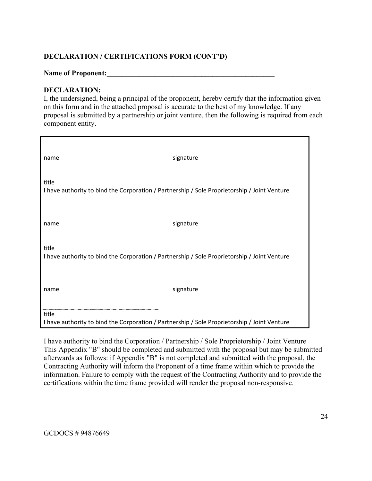# **DECLARATION / CERTIFICATIONS FORM (CONT'D)**

#### Name of Proponent:

#### **DECLARATION:**

I, the undersigned, being a principal of the proponent, hereby certify that the information given on this form and in the attached proposal is accurate to the best of my knowledge. If any proposal is submitted by a partnership or joint venture, then the following is required from each component entity.

| name                                                                                         | signature |
|----------------------------------------------------------------------------------------------|-----------|
|                                                                                              |           |
| title                                                                                        |           |
| I have authority to bind the Corporation / Partnership / Sole Proprietorship / Joint Venture |           |
| name                                                                                         | signature |
| title                                                                                        |           |
| I have authority to bind the Corporation / Partnership / Sole Proprietorship / Joint Venture |           |
| name                                                                                         | signature |
| title                                                                                        |           |
|                                                                                              |           |
| I have authority to bind the Corporation / Partnership / Sole Proprietorship / Joint Venture |           |

I have authority to bind the Corporation / Partnership / Sole Proprietorship / Joint Venture This Appendix "B" should be completed and submitted with the proposal but may be submitted afterwards as follows: if Appendix "B" is not completed and submitted with the proposal, the Contracting Authority will inform the Proponent of a time frame within which to provide the information. Failure to comply with the request of the Contracting Authority and to provide the certifications within the time frame provided will render the proposal non-responsive.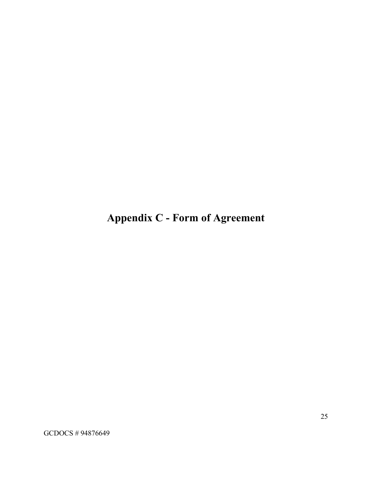**Appendix C - Form of Agreement**

GCDOCS # 94876649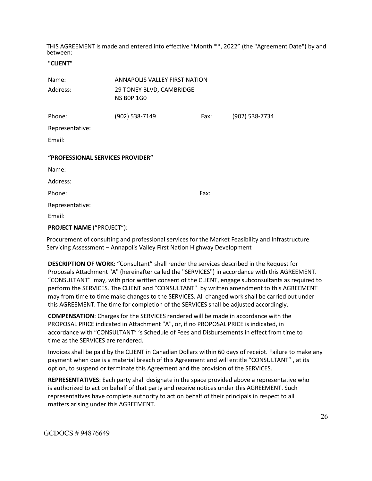THIS AGREEMENT is made and entered into effective "Month \*\*, 2022" (the "Agreement Date") by and between:

#### "**CLIENT**"

| Name:                            | <b>ANNAPOLIS VALLEY FIRST NATION</b>          |      |                |
|----------------------------------|-----------------------------------------------|------|----------------|
| Address:                         | 29 TONEY BLVD, CAMBRIDGE<br><b>NS BOP 1GO</b> |      |                |
| Phone:                           | (902) 538-7149                                | Fax: | (902) 538-7734 |
| Representative:                  |                                               |      |                |
| Email:                           |                                               |      |                |
| "PROFESSIONAL SERVICES PROVIDER" |                                               |      |                |
| Name:                            |                                               |      |                |
| Address:                         |                                               |      |                |
| Phone:                           |                                               | Fax: |                |
|                                  |                                               |      |                |
| Representative:                  |                                               |      |                |

**PROJECT NAME** ("PROJECT"):

Procurement of consulting and professional services for the Market Feasibility and Infrastructure Servicing Assessment – Annapolis Valley First Nation Highway Development

**DESCRIPTION OF WORK**: "Consultant" shall render the services described in the Request for Proposals Attachment "A" (hereinafter called the "SERVICES") in accordance with this AGREEMENT. "CONSULTANT" may, with prior written consent of the CLIENT, engage subconsultants as required to perform the SERVICES. The CLIENT and "CONSULTANT" by written amendment to this AGREEMENT may from time to time make changes to the SERVICES. All changed work shall be carried out under this AGREEMENT. The time for completion of the SERVICES shall be adjusted accordingly.

**COMPENSATION**: Charges for the SERVICES rendered will be made in accordance with the PROPOSAL PRICE indicated in Attachment "A", or, if no PROPOSAL PRICE is indicated, in accordance with "CONSULTANT" 's Schedule of Fees and Disbursements in effect from time to time as the SERVICES are rendered.

Invoices shall be paid by the CLIENT in Canadian Dollars within 60 days of receipt. Failure to make any payment when due is a material breach of this Agreement and will entitle "CONSULTANT" , at its option, to suspend or terminate this Agreement and the provision of the SERVICES.

**REPRESENTATIVES**: Each party shall designate in the space provided above a representative who is authorized to act on behalf of that party and receive notices under this AGREEMENT. Such representatives have complete authority to act on behalf of their principals in respect to all matters arising under this AGREEMENT.

GCDOCS # 94876649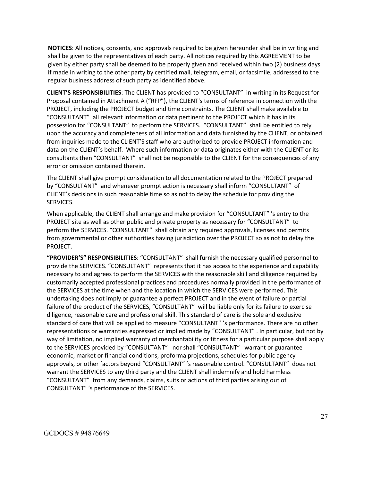**NOTICES**: All notices, consents, and approvals required to be given hereunder shall be in writing and shall be given to the representatives of each party. All notices required by this AGREEMENT to be given by either party shall be deemed to be properly given and received within two (2) business days if made in writing to the other party by certified mail, telegram, email, or facsimile, addressed to the regular business address of such party as identified above.

**CLIENT'S RESPONSIBILITIES**: The CLIENT has provided to "CONSULTANT" in writing in its Request for Proposal contained in Attachment A ("RFP"), the CLIENT's terms of reference in connection with the PROJECT, including the PROJECT budget and time constraints. The CLIENT shall make available to "CONSULTANT" all relevant information or data pertinent to the PROJECT which it has in its possession for "CONSULTANT" to perform the SERVICES. "CONSULTANT" shall be entitled to rely upon the accuracy and completeness of all information and data furnished by the CLIENT, or obtained from inquiries made to the CLIENT'S staff who are authorized to provide PROJECT information and data on the CLIENT's behalf. Where such information or data originates either with the CLIENT or its consultants then "CONSULTANT" shall not be responsible to the CLIENT for the consequences of any error or omission contained therein.

The CLIENT shall give prompt consideration to all documentation related to the PROJECT prepared by "CONSULTANT" and whenever prompt action is necessary shall inform "CONSULTANT" of CLIENT's decisions in such reasonable time so as not to delay the schedule for providing the SERVICES.

When applicable, the CLIENT shall arrange and make provision for "CONSULTANT" 's entry to the PROJECT site as well as other public and private property as necessary for "CONSULTANT" to perform the SERVICES. "CONSULTANT" shall obtain any required approvals, licenses and permits from governmental or other authorities having jurisdiction over the PROJECT so as not to delay the PROJECT.

**"PROVIDER'S" RESPONSIBILITIES**: "CONSULTANT" shall furnish the necessary qualified personnel to provide the SERVICES. "CONSULTANT" represents that it has access to the experience and capability necessary to and agrees to perform the SERVICES with the reasonable skill and diligence required by customarily accepted professional practices and procedures normally provided in the performance of the SERVICES at the time when and the location in which the SERVICES were performed. This undertaking does not imply or guarantee a perfect PROJECT and in the event of failure or partial failure of the product of the SERVICES, "CONSULTANT" will be liable only for its failure to exercise diligence, reasonable care and professional skill. This standard of care is the sole and exclusive standard of care that will be applied to measure "CONSULTANT" 's performance. There are no other representations or warranties expressed or implied made by "CONSULTANT" . In particular, but not by way of limitation, no implied warranty of merchantability or fitness for a particular purpose shall apply to the SERVICES provided by "CONSULTANT" nor shall "CONSULTANT" warrant or guarantee economic, market or financial conditions, proforma projections, schedules for public agency approvals, or other factors beyond "CONSULTANT" 's reasonable control. "CONSULTANT" does not warrant the SERVICES to any third party and the CLIENT shall indemnify and hold harmless "CONSULTANT" from any demands, claims, suits or actions of third parties arising out of CONSULTANT" 's performance of the SERVICES.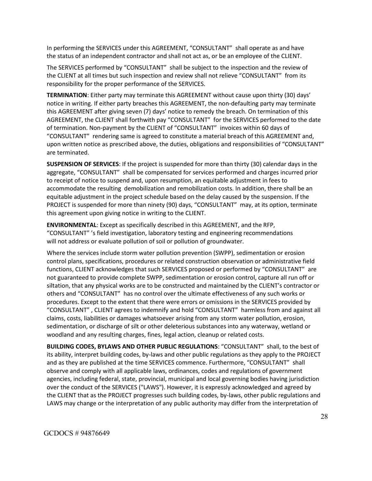In performing the SERVICES under this AGREEMENT, "CONSULTANT" shall operate as and have the status of an independent contractor and shall not act as, or be an employee of the CLIENT.

The SERVICES performed by "CONSULTANT" shall be subject to the inspection and the review of the CLIENT at all times but such inspection and review shall not relieve "CONSULTANT" from its responsibility for the proper performance of the SERVICES.

**TERMINATION**: Either party may terminate this AGREEMENT without cause upon thirty (30) days' notice in writing. If either party breaches this AGREEMENT, the non-defaulting party may terminate this AGREEMENT after giving seven (7) days' notice to remedy the breach. On termination of this AGREEMENT, the CLIENT shall forthwith pay "CONSULTANT" for the SERVICES performed to the date of termination. Non-payment by the CLIENT of "CONSULTANT" invoices within 60 days of "CONSULTANT" rendering same is agreed to constitute a material breach of this AGREEMENT and, upon written notice as prescribed above, the duties, obligations and responsibilities of "CONSULTANT" are terminated.

**SUSPENSION OF SERVICES**: If the project is suspended for more than thirty (30) calendar days in the aggregate, "CONSULTANT" shall be compensated for services performed and charges incurred prior to receipt of notice to suspend and, upon resumption, an equitable adjustment in fees to accommodate the resulting demobilization and remobilization costs. In addition, there shall be an equitable adjustment in the project schedule based on the delay caused by the suspension. If the PROJECT is suspended for more than ninety (90) days, "CONSULTANT" may, at its option, terminate this agreement upon giving notice in writing to the CLIENT.

**ENVIRONMENTAL**: Except as specifically described in this AGREEMENT, and the RFP, "CONSULTANT" 's field investigation, laboratory testing and engineering recommendations will not address or evaluate pollution of soil or pollution of groundwater.

Where the services include storm water pollution prevention (SWPP), sedimentation or erosion control plans, specifications, procedures or related construction observation or administrative field functions, CLIENT acknowledges that such SERVICES proposed or performed by "CONSULTANT" are not guaranteed to provide complete SWPP, sedimentation or erosion control, capture all run off or siltation, that any physical works are to be constructed and maintained by the CLIENT's contractor or others and "CONSULTANT" has no control over the ultimate effectiveness of any such works or procedures. Except to the extent that there were errors or omissions in the SERVICES provided by "CONSULTANT" , CLIENT agrees to indemnify and hold "CONSULTANT" harmless from and against all claims, costs, liabilities or damages whatsoever arising from any storm water pollution, erosion, sedimentation, or discharge of silt or other deleterious substances into any waterway, wetland or woodland and any resulting charges, fines, legal action, cleanup or related costs.

**BUILDING CODES, BYLAWS AND OTHER PUBLIC REGULATIONS**: "CONSULTANT" shall, to the best of its ability, interpret building codes, by-laws and other public regulations as they apply to the PROJECT and as they are published at the time SERVICES commence. Furthermore, "CONSULTANT" shall observe and comply with all applicable laws, ordinances, codes and regulations of government agencies, including federal, state, provincial, municipal and local governing bodies having jurisdiction over the conduct of the SERVICES ("LAWS"). However, it is expressly acknowledged and agreed by the CLIENT that as the PROJECT progresses such building codes, by-laws, other public regulations and LAWS may change or the interpretation of any public authority may differ from the interpretation of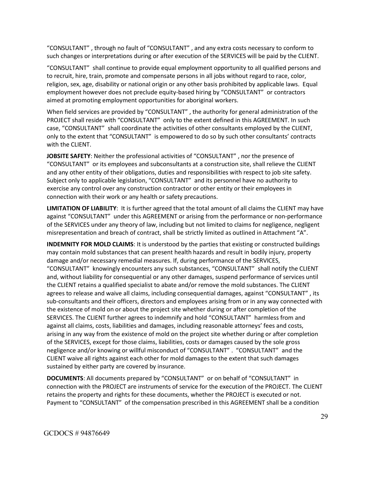"CONSULTANT" , through no fault of "CONSULTANT" , and any extra costs necessary to conform to such changes or interpretations during or after execution of the SERVICES will be paid by the CLIENT.

"CONSULTANT" shall continue to provide equal employment opportunity to all qualified persons and to recruit, hire, train, promote and compensate persons in all jobs without regard to race, color, religion, sex, age, disability or national origin or any other basis prohibited by applicable laws. Equal employment however does not preclude equity-based hiring by "CONSULTANT" or contractors aimed at promoting employment opportunities for aboriginal workers.

When field services are provided by "CONSULTANT" , the authority for general administration of the PROJECT shall reside with "CONSULTANT" only to the extent defined in this AGREEMENT. In such case, "CONSULTANT" shall coordinate the activities of other consultants employed by the CLIENT, only to the extent that "CONSULTANT" is empowered to do so by such other consultants' contracts with the CLIENT.

**JOBSITE SAFETY**: Neither the professional activities of "CONSULTANT" , nor the presence of "CONSULTANT" or its employees and subconsultants at a construction site, shall relieve the CLIENT and any other entity of their obligations, duties and responsibilities with respect to job site safety. Subject only to applicable legislation, "CONSULTANT" and its personnel have no authority to exercise any control over any construction contractor or other entity or their employees in connection with their work or any health or safety precautions.

**LIMITATION OF LIABILITY**: It is further agreed that the total amount of all claims the CLIENT may have against "CONSULTANT" under this AGREEMENT or arising from the performance or non-performance of the SERVICES under any theory of law, including but not limited to claims for negligence, negligent misrepresentation and breach of contract, shall be strictly limited as outlined in Attachment "A".

**INDEMNITY FOR MOLD CLAIMS**: It is understood by the parties that existing or constructed buildings may contain mold substances that can present health hazards and result in bodily injury, property damage and/or necessary remedial measures. If, during performance of the SERVICES, "CONSULTANT" knowingly encounters any such substances, "CONSULTANT" shall notify the CLIENT and, without liability for consequential or any other damages, suspend performance of services until the CLIENT retains a qualified specialist to abate and/or remove the mold substances. The CLIENT agrees to release and waive all claims, including consequential damages, against "CONSULTANT" , its sub-consultants and their officers, directors and employees arising from or in any way connected with the existence of mold on or about the project site whether during or after completion of the SERVICES. The CLIENT further agrees to indemnify and hold "CONSULTANT" harmless from and against all claims, costs, liabilities and damages, including reasonable attorneys' fees and costs, arising in any way from the existence of mold on the project site whether during or after completion of the SERVICES, except for those claims, liabilities, costs or damages caused by the sole gross negligence and/or knowing or willful misconduct of "CONSULTANT" . "CONSULTANT" and the CLIENT waive all rights against each other for mold damages to the extent that such damages sustained by either party are covered by insurance.

**DOCUMENTS**: All documents prepared by "CONSULTANT" or on behalf of "CONSULTANT" in connection with the PROJECT are instruments of service for the execution of the PROJECT. The CLIENT retains the property and rights for these documents, whether the PROJECT is executed or not. Payment to "CONSULTANT" of the compensation prescribed in this AGREEMENT shall be a condition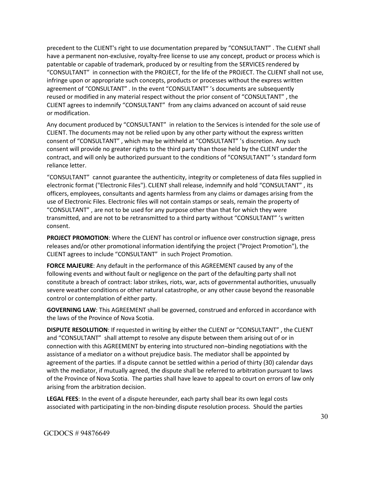precedent to the CLIENT's right to use documentation prepared by "CONSULTANT" . The CLIENT shall have a permanent non-exclusive, royalty-free license to use any concept, product or process which is patentable or capable of trademark, produced by or resulting from the SERVICES rendered by "CONSULTANT" in connection with the PROJECT, for the life of the PROJECT. The CLIENT shall not use, infringe upon or appropriate such concepts, products or processes without the express written agreement of "CONSULTANT" . In the event "CONSULTANT" 's documents are subsequently reused or modified in any material respect without the prior consent of "CONSULTANT" , the CLIENT agrees to indemnify "CONSULTANT" from any claims advanced on account of said reuse or modification.

Any document produced by "CONSULTANT" in relation to the Services is intended for the sole use of CLIENT. The documents may not be relied upon by any other party without the express written consent of "CONSULTANT" , which may be withheld at "CONSULTANT" 's discretion. Any such consent will provide no greater rights to the third party than those held by the CLIENT under the contract, and will only be authorized pursuant to the conditions of "CONSULTANT" 's standard form reliance letter.

"CONSULTANT" cannot guarantee the authenticity, integrity or completeness of data files supplied in electronic format ("Electronic Files"). CLIENT shall release, indemnify and hold "CONSULTANT" , its officers, employees, consultants and agents harmless from any claims or damages arising from the use of Electronic Files. Electronic files will not contain stamps or seals, remain the property of "CONSULTANT" , are not to be used for any purpose other than that for which they were transmitted, and are not to be retransmitted to a third party without "CONSULTANT" 's written consent.

**PROJECT PROMOTION**: Where the CLIENT has control or influence over construction signage, press releases and/or other promotional information identifying the project ("Project Promotion"), the CLIENT agrees to include "CONSULTANT" in such Project Promotion.

**FORCE MAJEURE**: Any default in the performance of this AGREEMENT caused by any of the following events and without fault or negligence on the part of the defaulting party shall not constitute a breach of contract: labor strikes, riots, war, acts of governmental authorities, unusually severe weather conditions or other natural catastrophe, or any other cause beyond the reasonable control or contemplation of either party.

**GOVERNING LAW**: This AGREEMENT shall be governed, construed and enforced in accordance with the laws of the Province of Nova Scotia.

**DISPUTE RESOLUTION**: If requested in writing by either the CLIENT or "CONSULTANT" , the CLIENT and "CONSULTANT" shall attempt to resolve any dispute between them arising out of or in connection with this AGREEMENT by entering into structured non¬binding negotiations with the assistance of a mediator on a without prejudice basis. The mediator shall be appointed by agreement of the parties. If a dispute cannot be settled within a period of thirty (30) calendar days with the mediator, if mutually agreed, the dispute shall be referred to arbitration pursuant to laws of the Province of Nova Scotia. The parties shall have leave to appeal to court on errors of law only arising from the arbitration decision.

**LEGAL FEES**: In the event of a dispute hereunder, each party shall bear its own legal costs associated with participating in the non-binding dispute resolution process. Should the parties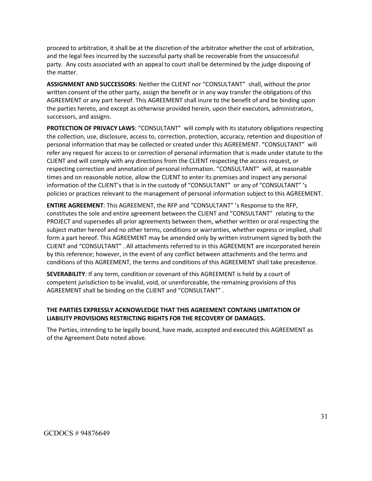proceed to arbitration, it shall be at the discretion of the arbitrator whether the cost of arbitration, and the legal fees incurred by the successful party shall be recoverable from the unsuccessful party. Any costs associated with an appeal to court shall be determined by the judge disposing of the matter.

**ASSIGNMENT AND SUCCESSORS**: Neither the CLIENT nor "CONSULTANT" shall, without the prior written consent of the other party, assign the benefit or in any way transfer the obligations of this AGREEMENT or any part hereof. This AGREEMENT shall inure to the benefit of and be binding upon the parties hereto, and except as otherwise provided herein, upon their executors, administrators, successors, and assigns.

**PROTECTION OF PRIVACY LAWS**: "CONSULTANT" will comply with its statutory obligations respecting the collection, use, disclosure, access to, correction, protection, accuracy, retention and disposition of personal information that may be collected or created under this AGREEMENT. "CONSULTANT" will refer any request for access to or correction of personal information that is made under statute to the CLIENT and will comply with any directions from the CLIENT respecting the access request, or respecting correction and annotation of personal information. "CONSULTANT" will, at reasonable times and on reasonable notice, allow the CLIENT to enter its premises and inspect any personal information of the CLIENT's that is in the custody of "CONSULTANT" or any of "CONSULTANT" 's policies or practices relevant to the management of personal information subject to this AGREEMENT.

**ENTIRE AGREEMENT**: This AGREEMENT, the RFP and "CONSULTANT" 's Response to the RFP, constitutes the sole and entire agreement between the CLIENT and "CONSULTANT" relating to the PROJECT and supersedes all prior agreements between them, whether written or oral respecting the subject matter hereof and no other terms, conditions or warranties, whether express or implied, shall form a part hereof. This AGREEMENT may be amended only by written instrument signed by both the CLIENT and "CONSULTANT" . All attachments referred to in this AGREEMENT are incorporated herein by this reference; however, in the event of any conflict between attachments and the terms and conditions of this AGREEMENT, the terms and conditions of this AGREEMENT shall take precedence.

**SEVERABILITY**: If any term, condition or covenant of this AGREEMENT is held by a court of competent jurisdiction to be invalid, void, or unenforceable, the remaining provisions of this AGREEMENT shall be binding on the CLIENT and "CONSULTANT" .

#### **THE PARTIES EXPRESSLY ACKNOWLEDGE THAT THIS AGREEMENT CONTAINS LIMITATION OF LIABILITY PROVISIONS RESTRICTING RIGHTS FOR THE RECOVERY OF DAMAGES.**

The Parties, intending to be legally bound, have made, accepted and executed this AGREEMENT as of the Agreement Date noted above.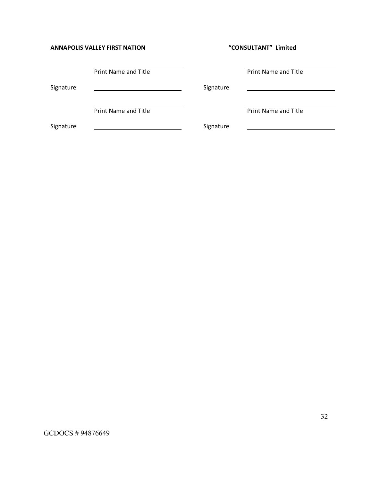#### **ANNAPOLIS VALLEY FIRST NATION "CONSULTANT" Limited**

|           | Print Name and Title |           | <b>Print Name and Title</b> |  |
|-----------|----------------------|-----------|-----------------------------|--|
| Signature |                      | Signature |                             |  |
|           | Print Name and Title |           | <b>Print Name and Title</b> |  |
| Signature |                      | Signature |                             |  |

GCDOCS # 94876649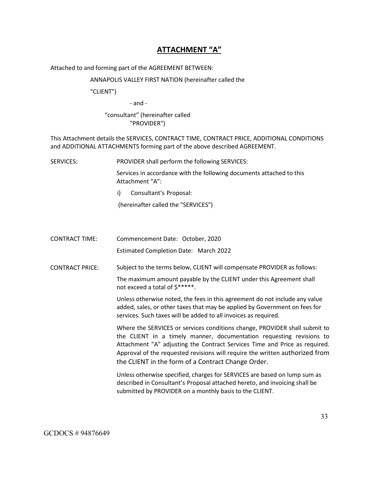# **ATTACHMENT "A"**

Attached to and forming part of the AGREEMENT BETWEEN:

ANNAPOLIS VALLEY FIRST NATION (hereinafter called the

"CLIENT")

- and -

#### "consultant" (hereinafter called "PROVIDER")

This Attachment details the SERVICES, CONTRACT TIME, CONTRACT PRICE, ADDITIONAL CONDITIONS and ADDITIONAL ATTACHMENTS forming part of the above described AGREEMENT.

SERVICES: PROVIDER shall perform the following SERVICES:

Services in accordance with the following documents attached to this Attachment "A":

i) Consultant's Proposal:

(hereinafter called the "SERVICES")

CONTRACT TIME: Commencement Date: October, 2020

Estimated Completion Date: March 2022

CONTRACT PRICE: Subject to the terms below, CLIENT will compensate PROVIDER as follows:

The maximum amount payable by the CLIENT under this Agreement shall not exceed a total of \$\*\*\*\*\*.

Unless otherwise noted, the fees in this agreement do not include any value added, sales, or other taxes that may be applied by Government on fees for services. Such taxes will be added to all invoices as required.

Where the SERVICES or services conditions change, PROVIDER shall submit to the CLIENT in a timely manner, documentation requesting revisions to Attachment "A" adjusting the Contract Services Time and Price as required. Approval of the requested revisions will require the written authorized from the CLIENT in the form of a Contract Change Order.

Unless otherwise specified, charges for SERVICES are based on lump sum as described in Consultant's Proposal attached hereto, and invoicing shall be submitted by PROVIDER on a monthly basis to the CLIENT.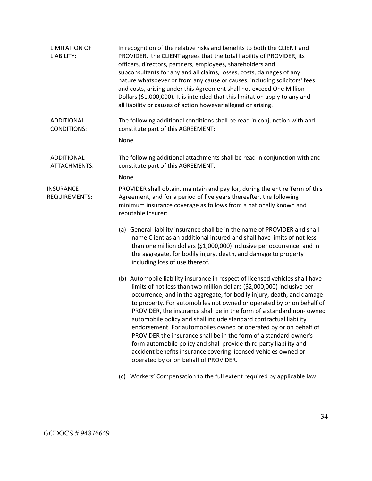| In recognition of the relative risks and benefits to both the CLIENT and<br>PROVIDER, the CLIENT agrees that the total liability of PROVIDER, its<br>officers, directors, partners, employees, shareholders and<br>subconsultants for any and all claims, losses, costs, damages of any<br>nature whatsoever or from any cause or causes, including solicitors' fees<br>and costs, arising under this Agreement shall not exceed One Million<br>Dollars (\$1,000,000). It is intended that this limitation apply to any and<br>all liability or causes of action however alleged or arising.                                                                                                                                                                                          |
|---------------------------------------------------------------------------------------------------------------------------------------------------------------------------------------------------------------------------------------------------------------------------------------------------------------------------------------------------------------------------------------------------------------------------------------------------------------------------------------------------------------------------------------------------------------------------------------------------------------------------------------------------------------------------------------------------------------------------------------------------------------------------------------|
| The following additional conditions shall be read in conjunction with and<br>constitute part of this AGREEMENT:                                                                                                                                                                                                                                                                                                                                                                                                                                                                                                                                                                                                                                                                       |
| None                                                                                                                                                                                                                                                                                                                                                                                                                                                                                                                                                                                                                                                                                                                                                                                  |
| The following additional attachments shall be read in conjunction with and<br>constitute part of this AGREEMENT:                                                                                                                                                                                                                                                                                                                                                                                                                                                                                                                                                                                                                                                                      |
| None                                                                                                                                                                                                                                                                                                                                                                                                                                                                                                                                                                                                                                                                                                                                                                                  |
| PROVIDER shall obtain, maintain and pay for, during the entire Term of this<br>Agreement, and for a period of five years thereafter, the following<br>minimum insurance coverage as follows from a nationally known and<br>reputable Insurer:                                                                                                                                                                                                                                                                                                                                                                                                                                                                                                                                         |
| (a) General liability insurance shall be in the name of PROVIDER and shall<br>name Client as an additional insured and shall have limits of not less<br>than one million dollars (\$1,000,000) inclusive per occurrence, and in<br>the aggregate, for bodily injury, death, and damage to property<br>including loss of use thereof.                                                                                                                                                                                                                                                                                                                                                                                                                                                  |
| (b) Automobile liability insurance in respect of licensed vehicles shall have<br>limits of not less than two million dollars (\$2,000,000) inclusive per<br>occurrence, and in the aggregate, for bodily injury, death, and damage<br>to property. For automobiles not owned or operated by or on behalf of<br>PROVIDER, the insurance shall be in the form of a standard non-owned<br>automobile policy and shall include standard contractual liability<br>endorsement. For automobiles owned or operated by or on behalf of<br>PROVIDER the insurance shall be in the form of a standard owner's<br>form automobile policy and shall provide third party liability and<br>accident benefits insurance covering licensed vehicles owned or<br>operated by or on behalf of PROVIDER. |
|                                                                                                                                                                                                                                                                                                                                                                                                                                                                                                                                                                                                                                                                                                                                                                                       |

(c) Workers' Compensation to the full extent required by applicable law.